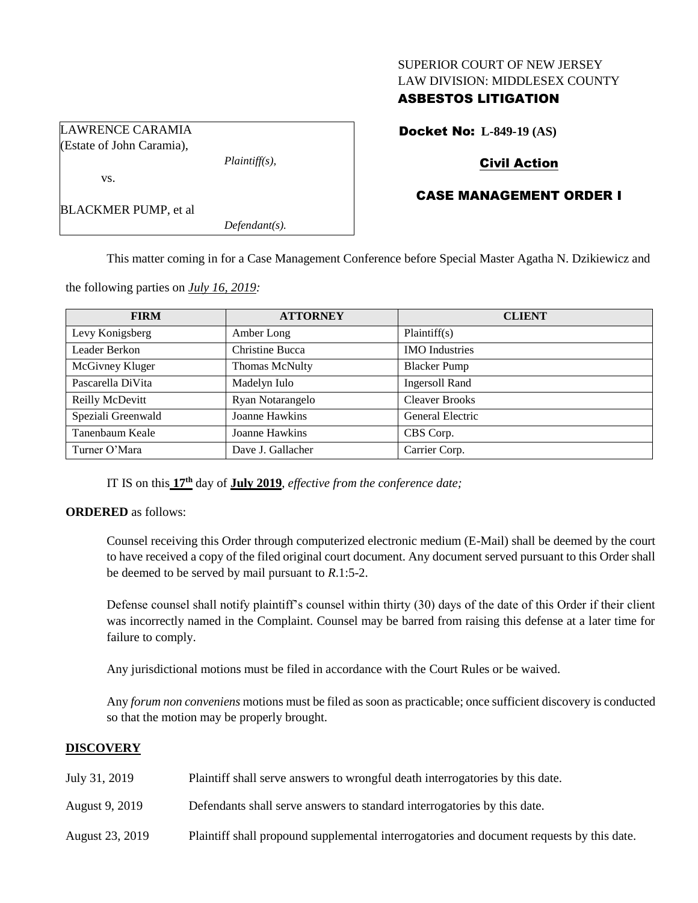### SUPERIOR COURT OF NEW JERSEY LAW DIVISION: MIDDLESEX COUNTY

# ASBESTOS LITIGATION

Docket No: **L-849-19 (AS)**

# Civil Action

## CASE MANAGEMENT ORDER I

BLACKMER PUMP, et al

vs.

LAWRENCE CARAMIA (Estate of John Caramia),

*Defendant(s).*

*Plaintiff(s),*

This matter coming in for a Case Management Conference before Special Master Agatha N. Dzikiewicz and

the following parties on *July 16, 2019:*

| <b>FIRM</b>        | <b>ATTORNEY</b>       | <b>CLIENT</b>         |
|--------------------|-----------------------|-----------------------|
| Levy Konigsberg    | Amber Long            | Plaintiff(s)          |
| Leader Berkon      | Christine Bucca       | <b>IMO</b> Industries |
| McGivney Kluger    | Thomas McNulty        | <b>Blacker Pump</b>   |
| Pascarella DiVita  | Madelyn Iulo          | <b>Ingersoll Rand</b> |
| Reilly McDevitt    | Ryan Notarangelo      | <b>Cleaver Brooks</b> |
| Speziali Greenwald | Joanne Hawkins        | General Electric      |
| Tanenbaum Keale    | <b>Joanne Hawkins</b> | CBS Corp.             |
| Turner O'Mara      | Dave J. Gallacher     | Carrier Corp.         |

IT IS on this **17th** day of **July 2019**, *effective from the conference date;*

**ORDERED** as follows:

Counsel receiving this Order through computerized electronic medium (E-Mail) shall be deemed by the court to have received a copy of the filed original court document. Any document served pursuant to this Order shall be deemed to be served by mail pursuant to *R*.1:5-2.

Defense counsel shall notify plaintiff's counsel within thirty (30) days of the date of this Order if their client was incorrectly named in the Complaint. Counsel may be barred from raising this defense at a later time for failure to comply.

Any jurisdictional motions must be filed in accordance with the Court Rules or be waived.

Any *forum non conveniens* motions must be filed as soon as practicable; once sufficient discovery is conducted so that the motion may be properly brought.

## **DISCOVERY**

- July 31, 2019 Plaintiff shall serve answers to wrongful death interrogatories by this date.
- August 9, 2019 Defendants shall serve answers to standard interrogatories by this date.
- August 23, 2019 Plaintiff shall propound supplemental interrogatories and document requests by this date.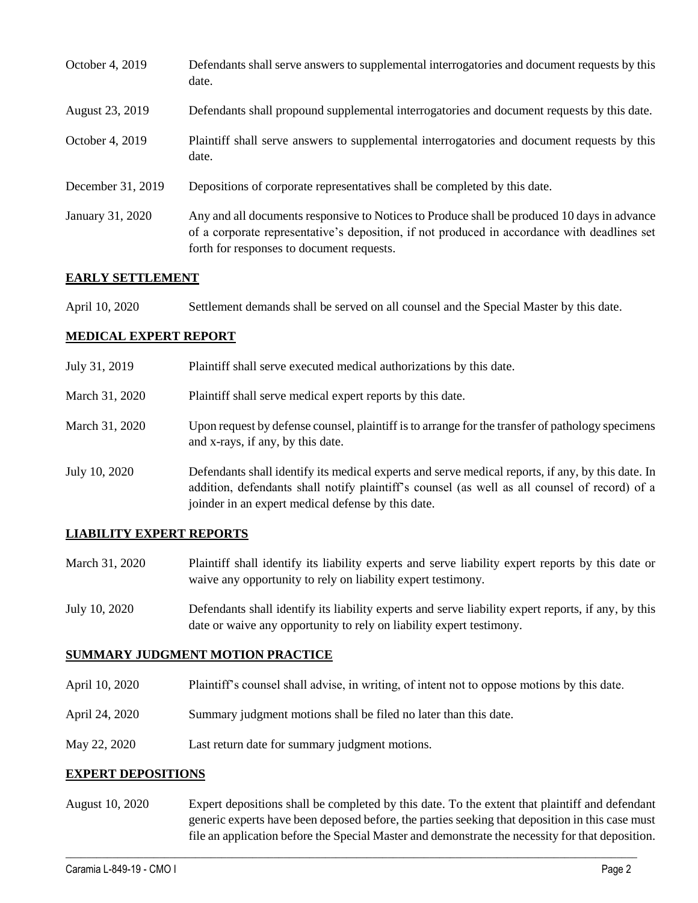| October 4, 2019   | Defendants shall serve answers to supplemental interrogatories and document requests by this<br>date.                                                                                                                                    |
|-------------------|------------------------------------------------------------------------------------------------------------------------------------------------------------------------------------------------------------------------------------------|
| August 23, 2019   | Defendants shall propound supplemental interrogatories and document requests by this date.                                                                                                                                               |
| October 4, 2019   | Plaintiff shall serve answers to supplemental interrogatories and document requests by this<br>date.                                                                                                                                     |
| December 31, 2019 | Depositions of corporate representatives shall be completed by this date.                                                                                                                                                                |
| January 31, 2020  | Any and all documents responsive to Notices to Produce shall be produced 10 days in advance<br>of a corporate representative's deposition, if not produced in accordance with deadlines set<br>forth for responses to document requests. |

### **EARLY SETTLEMENT**

| April 10, 2020 | Settlement demands shall be served on all counsel and the Special Master by this date. |
|----------------|----------------------------------------------------------------------------------------|
|----------------|----------------------------------------------------------------------------------------|

### **MEDICAL EXPERT REPORT**

| July 31, 2019  | Plaintiff shall serve executed medical authorizations by this date.                                                                                                                                                                                      |  |
|----------------|----------------------------------------------------------------------------------------------------------------------------------------------------------------------------------------------------------------------------------------------------------|--|
| March 31, 2020 | Plaintiff shall serve medical expert reports by this date.                                                                                                                                                                                               |  |
| March 31, 2020 | Upon request by defense counsel, plaintiff is to arrange for the transfer of pathology specimens<br>and x-rays, if any, by this date.                                                                                                                    |  |
| July 10, 2020  | Defendants shall identify its medical experts and serve medical reports, if any, by this date. In<br>addition, defendants shall notify plaintiff's counsel (as well as all counsel of record) of a<br>joinder in an expert medical defense by this date. |  |

## **LIABILITY EXPERT REPORTS**

- March 31, 2020 Plaintiff shall identify its liability experts and serve liability expert reports by this date or waive any opportunity to rely on liability expert testimony.
- July 10, 2020 Defendants shall identify its liability experts and serve liability expert reports, if any, by this date or waive any opportunity to rely on liability expert testimony.

## **SUMMARY JUDGMENT MOTION PRACTICE**

- April 10, 2020 Plaintiff's counsel shall advise, in writing, of intent not to oppose motions by this date.
- April 24, 2020 Summary judgment motions shall be filed no later than this date.
- May 22, 2020 Last return date for summary judgment motions.

### **EXPERT DEPOSITIONS**

August 10, 2020 Expert depositions shall be completed by this date. To the extent that plaintiff and defendant generic experts have been deposed before, the parties seeking that deposition in this case must file an application before the Special Master and demonstrate the necessity for that deposition.

 $\_$  , and the set of the set of the set of the set of the set of the set of the set of the set of the set of the set of the set of the set of the set of the set of the set of the set of the set of the set of the set of th